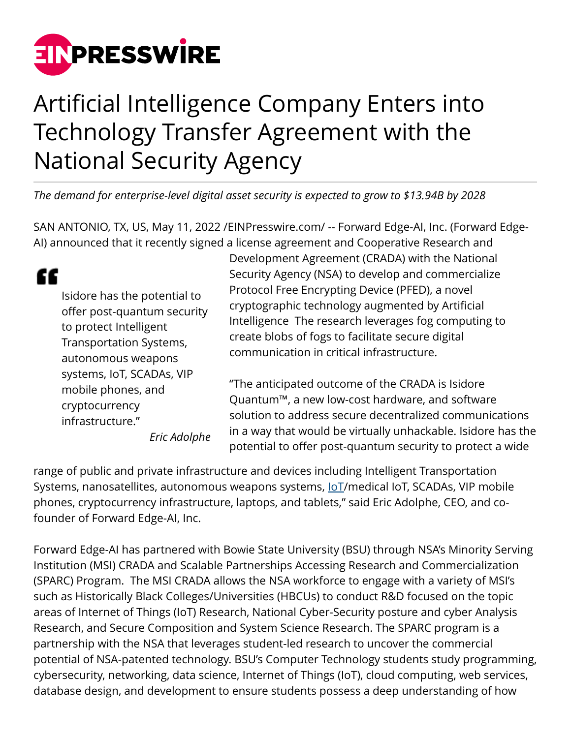

## Artificial Intelligence Company Enters into Technology Transfer Agreement with the National Security Agency

*The demand for enterprise-level digital asset security is expected to grow to \$13.94B by 2028*

SAN ANTONIO, TX, US, May 11, 2022 [/EINPresswire.com](http://www.einpresswire.com)/ -- Forward Edge-AI, Inc. (Forward Edge-AI) announced that it recently signed a license agreement and Cooperative Research and

Development Agreement (CRADA) with the National

potential to offer post-quantum security to protect a wide

|                                                                                                                                        | Security Agency (NSA) to develop and commercialize                                                                                                                                                                                                                                                                                                                                                                                                                                              |
|----------------------------------------------------------------------------------------------------------------------------------------|-------------------------------------------------------------------------------------------------------------------------------------------------------------------------------------------------------------------------------------------------------------------------------------------------------------------------------------------------------------------------------------------------------------------------------------------------------------------------------------------------|
| Isidore has the potential to<br>offer post-quantum security<br>to protect Intelligent<br>Transportation Systems,<br>autonomous weapons | Protocol Free Encrypting Device (PFED), a novel<br>cryptographic technology augmented by Artificial<br>Intelligence The research leverages fog computing to<br>create blobs of fogs to facilitate secure digital<br>communication in critical infrastructure.<br>"The anticipated outcome of the CRADA is Isidore<br>Quantum™, a new low-cost hardware, and software<br>solution to address secure decentralized communications<br>in a way that would be virtually unhackable. Isidore has the |
| systems, IoT, SCADAs, VIP<br>mobile phones, and<br>cryptocurrency<br>infrastructure."<br>Fric Adolphe                                  |                                                                                                                                                                                                                                                                                                                                                                                                                                                                                                 |

*Eric Adolphe*

range of public and private infrastructure and devices including Intelligent Transportation Systems, nanosatellites, autonomous weapons systems, loT/medical IoT, SCADAs, VIP mobile phones, cryptocurrency infrastructure, laptops, and tablets," said Eric Adolphe, CEO, and cofounder of Forward Edge-AI, Inc.

Forward Edge-AI has partnered with Bowie State University (BSU) through NSA's Minority Serving Institution (MSI) CRADA and Scalable Partnerships Accessing Research and Commercialization (SPARC) Program. The MSI CRADA allows the NSA workforce to engage with a variety of MSI's such as Historically Black Colleges/Universities (HBCUs) to conduct R&D focused on the topic areas of Internet of Things (IoT) Research, National Cyber-Security posture and cyber Analysis Research, and Secure Composition and System Science Research. The SPARC program is a partnership with the NSA that leverages student-led research to uncover the commercial potential of NSA-patented technology. BSU's Computer Technology students study programming, cybersecurity, networking, data science, Internet of Things (IoT), cloud computing, web services, database design, and development to ensure students possess a deep understanding of how